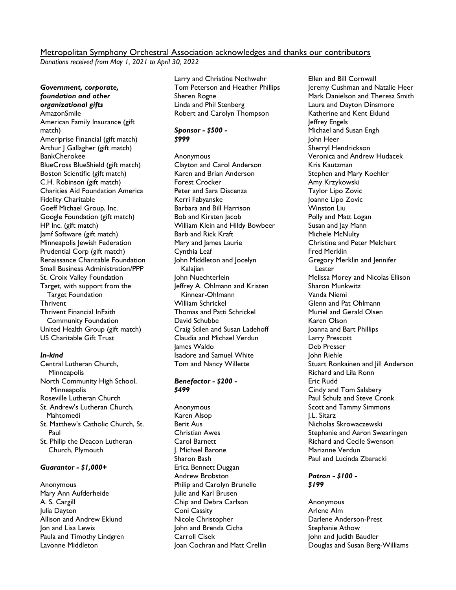# Metropolitan Symphony Orchestral Association acknowledges and thanks our contributors

*Donations received from May 1, 2021 to April 30, 2022*

*Government, corporate, foundation and other organizational gifts* AmazonSmile American Family Insurance (gift match) Ameriprise Financial (gift match) Arthur J Gallagher (gift match) **BankCherokee** BlueCross BlueShield (gift match) Boston Scientific (gift match) C.H. Robinson (gift match) Charities Aid Foundation America Fidelity Charitable Goeff Michael Group, Inc. Google Foundation (gift match) HP Inc. (gift match) Jamf Software (gift match) Minneapolis Jewish Federation Prudential Corp (gift match) Renaissance Charitable Foundation Small Business Administration/PPP St. Croix Valley Foundation Target, with support from the Target Foundation Thrivent Thrivent Financial InFaith Community Foundation United Health Group (gift match) US Charitable Gift Trust

#### *In-kind*

- Central Lutheran Church, **Minneapolis** North Community High School, **Minneapolis** Roseville Lutheran Church St. Andrew's Lutheran Church, Mahtomedi St. Matthew's Catholic Church, St. Paul
- St. Philip the Deacon Lutheran Church, Plymouth

## *Guarantor - \$1,000+*

Anonymous Mary Ann Aufderheide A. S. Cargill Julia Dayton Allison and Andrew Eklund Jon and Lisa Lewis Paula and Timothy Lindgren Lavonne Middleton

Larry and Christine Nothwehr Tom Peterson and Heather Phillips Sheren Rogne Linda and Phil Stenberg Robert and Carolyn Thompson

### *Sponsor - \$500 - \$999*

Anonymous Clayton and Carol Anderson Karen and Brian Anderson Forest Crocker Peter and Sara Discenza Kerri Fabyanske Barbara and Bill Harrison Bob and Kirsten Jacob William Klein and Hildy Bowbeer Barb and Rick Kraft Mary and James Laurie Cynthia Leaf John Middleton and Jocelyn Kalajian John Nuechterlein Jeffrey A. Ohlmann and Kristen Kinnear-Ohlmann William Schrickel Thomas and Patti Schrickel David Schubbe Craig Stilen and Susan Ladehoff Claudia and Michael Verdun James Waldo Isadore and Samuel White Tom and Nancy Willette

#### *Benefactor - \$200 - \$499*

Anonymous Karen Alsop Berit Aus Christian Awes Carol Barnett J. Michael Barone Sharon Bash Erica Bennett Duggan Andrew Brobston Philip and Carolyn Brunelle Julie and Karl Brusen Chip and Debra Carlson Coni Cassity Nicole Christopher John and Brenda Cicha Carroll Cisek Joan Cochran and Matt Crellin

Ellen and Bill Cornwall Jeremy Cushman and Natalie Heer Mark Danielson and Theresa Smith Laura and Dayton Dinsmore Katherine and Kent Eklund Jeffrey Engels Michael and Susan Engh John Heer Sherryl Hendrickson Veronica and Andrew Hudacek Kris Kautzman Stephen and Mary Koehler Amy Krzykowski Taylor Lipo Zovic Joanne Lipo Zovic Winston Liu Polly and Matt Logan Susan and Jay Mann Michele McNulty Christine and Peter Melchert Fred Merklin Gregory Merklin and Jennifer Lester Melissa Morey and Nicolas Ellison Sharon Munkwitz Vanda Niemi Glenn and Pat Ohlmann Muriel and Gerald Olsen Karen Olson Joanna and Bart Phillips Larry Prescott Deb Presser John Riehle Stuart Ronkainen and Jill Anderson Richard and Lila Ronn Eric Rudd Cindy and Tom Salsbery Paul Schulz and Steve Cronk Scott and Tammy Simmons J.L. Sitarz Nicholas Skrowaczewski Stephanie and Aaron Swearingen Richard and Cecile Swenson Marianne Verdun Paul and Lucinda Zbaracki

### *Patron - \$100 - \$199*

Anonymous Arlene Alm Darlene Anderson-Prest Stephanie Athow John and Judith Baudler Douglas and Susan Berg-Williams